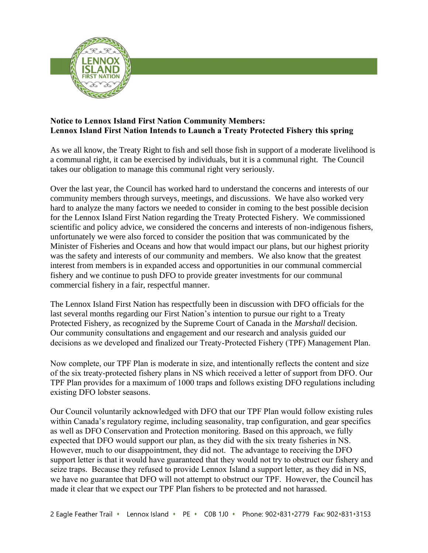

## **Notice to Lennox Island First Nation Community Members: Lennox Island First Nation Intends to Launch a Treaty Protected Fishery this spring**

As we all know, the Treaty Right to fish and sell those fish in support of a moderate livelihood is a communal right, it can be exercised by individuals, but it is a communal right. The Council takes our obligation to manage this communal right very seriously.

Over the last year, the Council has worked hard to understand the concerns and interests of our community members through surveys, meetings, and discussions. We have also worked very hard to analyze the many factors we needed to consider in coming to the best possible decision for the Lennox Island First Nation regarding the Treaty Protected Fishery. We commissioned scientific and policy advice, we considered the concerns and interests of non-indigenous fishers, unfortunately we were also forced to consider the position that was communicated by the Minister of Fisheries and Oceans and how that would impact our plans, but our highest priority was the safety and interests of our community and members. We also know that the greatest interest from members is in expanded access and opportunities in our communal commercial fishery and we continue to push DFO to provide greater investments for our communal commercial fishery in a fair, respectful manner.

The Lennox Island First Nation has respectfully been in discussion with DFO officials for the last several months regarding our First Nation's intention to pursue our right to a Treaty Protected Fishery, as recognized by the Supreme Court of Canada in the *Marshall* decision. Our community consultations and engagement and our research and analysis guided our decisions as we developed and finalized our Treaty-Protected Fishery (TPF) Management Plan.

Now complete, our TPF Plan is moderate in size, and intentionally reflects the content and size of the six treaty-protected fishery plans in NS which received a letter of support from DFO. Our TPF Plan provides for a maximum of 1000 traps and follows existing DFO regulations including existing DFO lobster seasons.

Our Council voluntarily acknowledged with DFO that our TPF Plan would follow existing rules within Canada's regulatory regime, including seasonality, trap configuration, and gear specifics as well as DFO Conservation and Protection monitoring. Based on this approach, we fully expected that DFO would support our plan, as they did with the six treaty fisheries in NS. However, much to our disappointment, they did not. The advantage to receiving the DFO support letter is that it would have guaranteed that they would not try to obstruct our fishery and seize traps. Because they refused to provide Lennox Island a support letter, as they did in NS, we have no guarantee that DFO will not attempt to obstruct our TPF. However, the Council has made it clear that we expect our TPF Plan fishers to be protected and not harassed.